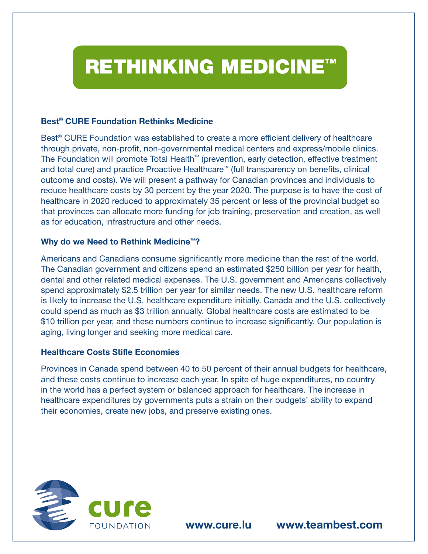# RETHINKING MEDICINE™

### **Best® CURE Foundation Rethinks Medicine**

Best® CURE Foundation was established to create a more efficient delivery of healthcare through private, non-profit, non-governmental medical centers and express/mobile clinics. The Foundation will promote Total Health™ (prevention, early detection, effective treatment and total cure) and practice Proactive Healthcare™ (full transparency on benefits, clinical outcome and costs). We will present a pathway for Canadian provinces and individuals to reduce healthcare costs by 30 percent by the year 2020. The purpose is to have the cost of healthcare in 2020 reduced to approximately 35 percent or less of the provincial budget so that provinces can allocate more funding for job training, preservation and creation, as well as for education, infrastructure and other needs.

## **Why do we Need to Rethink Medicine™?**

Americans and Canadians consume significantly more medicine than the rest of the world. The Canadian government and citizens spend an estimated \$250 billion per year for health, dental and other related medical expenses. The U.S. government and Americans collectively spend approximately \$2.5 trillion per year for similar needs. The new U.S. healthcare reform is likely to increase the U.S. healthcare expenditure initially. Canada and the U.S. collectively could spend as much as \$3 trillion annually. Global healthcare costs are estimated to be \$10 trillion per year, and these numbers continue to increase significantly. Our population is aging, living longer and seeking more medical care.

#### **Healthcare Costs Stifle Economies**

Provinces in Canada spend between 40 to 50 percent of their annual budgets for healthcare, and these costs continue to increase each year. In spite of huge expenditures, no country in the world has a perfect system or balanced approach for healthcare. The increase in healthcare expenditures by governments puts a strain on their budgets' ability to expand their economies, create new jobs, and preserve existing ones.



**www.cure.lu www.teambest.com**